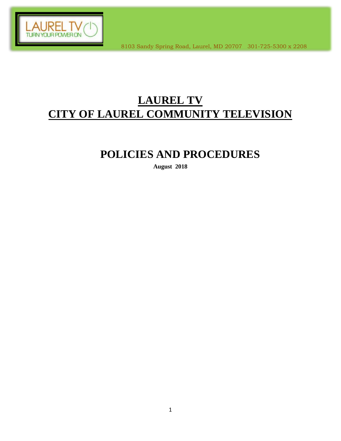

# **LAUREL TV CITY OF LAUREL COMMUNITY TELEVISION**

# **POLICIES AND PROCEDURES**

**August 2018**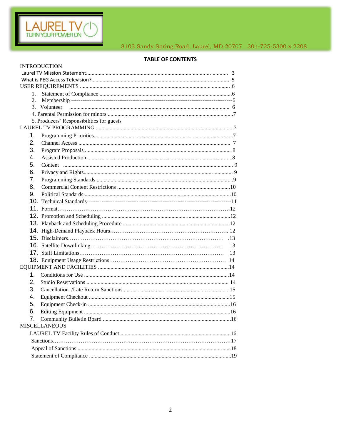

# **TABLE OF CONTENTS**

|                  | <b>INTRODUCTION</b>                       |    |  |
|------------------|-------------------------------------------|----|--|
|                  |                                           |    |  |
|                  |                                           |    |  |
|                  |                                           |    |  |
| 1.               |                                           |    |  |
| $\overline{2}$ . |                                           |    |  |
|                  | 3. Volunteer                              |    |  |
|                  |                                           |    |  |
|                  | 5. Producers' Responsibilities for guests |    |  |
|                  |                                           |    |  |
| 1.               |                                           |    |  |
| 2.               |                                           |    |  |
| 3.               |                                           |    |  |
| 4.               |                                           |    |  |
| 5.               |                                           |    |  |
| 6.               |                                           |    |  |
| 7.               |                                           |    |  |
| 8.               |                                           |    |  |
| 9.               |                                           |    |  |
|                  |                                           |    |  |
|                  |                                           |    |  |
|                  |                                           |    |  |
|                  |                                           |    |  |
|                  |                                           |    |  |
|                  |                                           |    |  |
|                  |                                           |    |  |
|                  |                                           | 13 |  |
|                  |                                           |    |  |
|                  |                                           |    |  |
| 1.               |                                           |    |  |
| 2.               |                                           |    |  |
| 3.               |                                           |    |  |
| 4.               |                                           |    |  |
| 5.               |                                           |    |  |
|                  |                                           |    |  |
| 6.               |                                           |    |  |
|                  | <b>MISCELLANEOUS</b>                      |    |  |
|                  |                                           |    |  |
|                  |                                           |    |  |
|                  |                                           |    |  |
|                  |                                           |    |  |
|                  |                                           |    |  |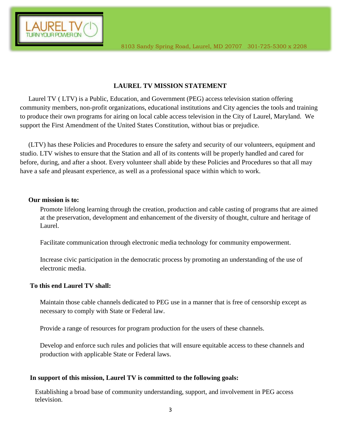## **LAUREL TV MISSION STATEMENT**

 Laurel TV ( LTV) is a Public, Education, and Government (PEG) access television station offering community members, non-profit organizations, educational institutions and City agencies the tools and training to produce their own programs for airing on local cable access television in the City of Laurel, Maryland. We support the First Amendment of the United States Constitution, without bias or prejudice.

 (LTV) has these Policies and Procedures to ensure the safety and security of our volunteers, equipment and studio. LTV wishes to ensure that the Station and all of its contents will be properly handled and cared for before, during, and after a shoot. Every volunteer shall abide by these Policies and Procedures so that all may have a safe and pleasant experience, as well as a professional space within which to work.

#### **Our mission is to:**

Promote lifelong learning through the creation, production and cable casting of programs that are aimed at the preservation, development and enhancement of the diversity of thought, culture and heritage of Laurel.

Facilitate communication through electronic media technology for community empowerment.

Increase civic participation in the democratic process by promoting an understanding of the use of electronic media.

#### **To this end Laurel TV shall:**

Maintain those cable channels dedicated to PEG use in a manner that is free of censorship except as necessary to comply with State or Federal law.

Provide a range of resources for program production for the users of these channels.

Develop and enforce such rules and policies that will ensure equitable access to these channels and production with applicable State or Federal laws.

#### **In support of this mission, Laurel TV is committed to the following goals:**

 Establishing a broad base of community understanding, support, and involvement in PEG access television.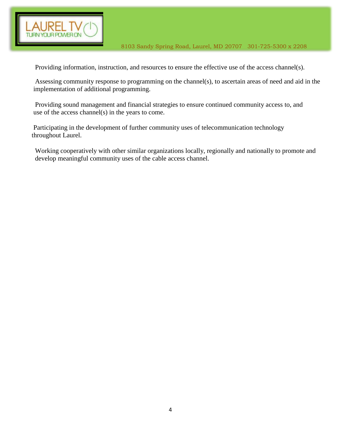

Providing information, instruction, and resources to ensure the effective use of the access channel(s).

 Assessing community response to programming on the channel(s), to ascertain areas of need and aid in the implementation of additional programming.

 Providing sound management and financial strategies to ensure continued community access to, and use of the access channel(s) in the years to come.

 Participating in the development of further community uses of telecommunication technology throughout Laurel.

 Working cooperatively with other similar organizations locally, regionally and nationally to promote and develop meaningful community uses of the cable access channel.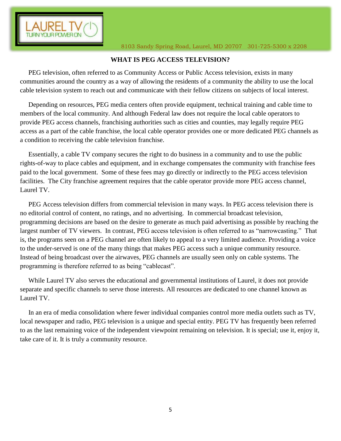

## **WHAT IS PEG ACCESS TELEVISION?**

 PEG television, often referred to as Community Access or Public Access television, exists in many communities around the country as a way of allowing the residents of a community the ability to use the local cable television system to reach out and communicate with their fellow citizens on subjects of local interest.

 Depending on resources, PEG media centers often provide equipment, technical training and cable time to members of the local community. And although Federal law does not require the local cable operators to provide PEG access channels, franchising authorities such as cities and counties, may legally require PEG access as a part of the cable franchise, the local cable operator provides one or more dedicated PEG channels as a condition to receiving the cable television franchise.

 Essentially, a cable TV company secures the right to do business in a community and to use the public rights-of-way to place cables and equipment, and in exchange compensates the community with franchise fees paid to the local government. Some of these fees may go directly or indirectly to the PEG access television facilities. The City franchise agreement requires that the cable operator provide more PEG access channel, Laurel TV.

 PEG Access television differs from commercial television in many ways. In PEG access television there is no editorial control of content, no ratings, and no advertising. In commercial broadcast television, programming decisions are based on the desire to generate as much paid advertising as possible by reaching the largest number of TV viewers. In contrast, PEG access television is often referred to as "narrowcasting." That is, the programs seen on a PEG channel are often likely to appeal to a very limited audience. Providing a voice to the under-served is one of the many things that makes PEG access such a unique community resource. Instead of being broadcast over the airwaves, PEG channels are usually seen only on cable systems. The programming is therefore referred to as being "cablecast".

 While Laurel TV also serves the educational and governmental institutions of Laurel, it does not provide separate and specific channels to serve those interests. All resources are dedicated to one channel known as Laurel TV.

 In an era of media consolidation where fewer individual companies control more media outlets such as TV, local newspaper and radio, PEG television is a unique and special entity. PEG TV has frequently been referred to as the last remaining voice of the independent viewpoint remaining on television. It is special; use it, enjoy it, take care of it. It is truly a community resource.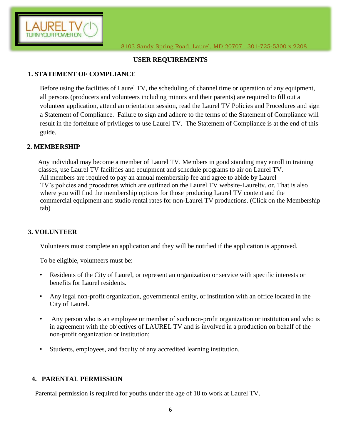

## **USER REQUIREMENTS**

## **1. STATEMENT OF COMPLIANCE**

Before using the facilities of Laurel TV, the scheduling of channel time or operation of any equipment, all persons (producers and volunteers including minors and their parents) are required to fill out a volunteer application, attend an orientation session, read the Laurel TV Policies and Procedures and sign a Statement of Compliance. Failure to sign and adhere to the terms of the Statement of Compliance will result in the forfeiture of privileges to use Laurel TV. The Statement of Compliance is at the end of this guide.

## **2. MEMBERSHIP**

Any individual may become a member of Laurel TV. Members in good standing may enroll in training classes, use Laurel TV facilities and equipment and schedule programs to air on Laurel TV. All members are required to pay an annual membership fee and agree to abide by Laurel TV's policies and procedures which are outlined on the Laurel TV website-Laureltv. or. That is also where you will find the membership options for those producing Laurel TV content and the commercial equipment and studio rental rates for non-Laurel TV productions. (Click on the Membership tab)

#### **3. VOLUNTEER**

Volunteers must complete an application and they will be notified if the application is approved.

To be eligible, volunteers must be:

- Residents of the City of Laurel, or represent an organization or service with specific interests or benefits for Laurel residents.
- Any legal non-profit organization, governmental entity, or institution with an office located in the City of Laurel.
- Any person who is an employee or member of such non-profit organization or institution and who is in agreement with the objectives of LAUREL TV and is involved in a production on behalf of the non-profit organization or institution;
- Students, employees, and faculty of any accredited learning institution.

#### **4. PARENTAL PERMISSION**

Parental permission is required for youths under the age of 18 to work at Laurel TV.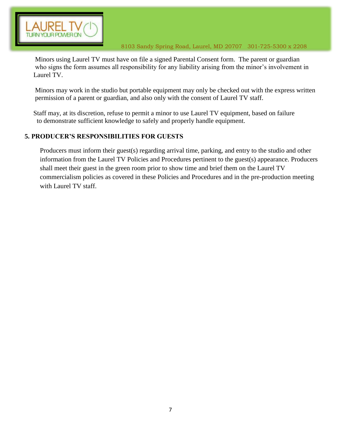

 Minors using Laurel TV must have on file a signed Parental Consent form. The parent or guardian who signs the form assumes all responsibility for any liability arising from the minor's involvement in Laurel TV.

 Minors may work in the studio but portable equipment may only be checked out with the express written permission of a parent or guardian, and also only with the consent of Laurel TV staff.

 Staff may, at its discretion, refuse to permit a minor to use Laurel TV equipment, based on failure to demonstrate sufficient knowledge to safely and properly handle equipment.

# **5. PRODUCER'S RESPONSIBILITIES FOR GUESTS**

Producers must inform their guest(s) regarding arrival time, parking, and entry to the studio and other information from the Laurel TV Policies and Procedures pertinent to the guest(s) appearance. Producers shall meet their guest in the green room prior to show time and brief them on the Laurel TV commercialism policies as covered in these Policies and Procedures and in the pre-production meeting with Laurel TV staff.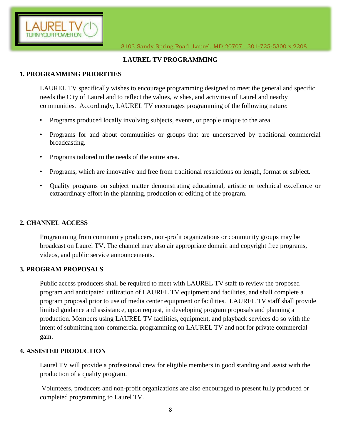

## **LAUREL TV PROGRAMMING**

## **1. PROGRAMMING PRIORITIES**

LAUREL TV specifically wishes to encourage programming designed to meet the general and specific needs the City of Laurel and to reflect the values, wishes, and activities of Laurel and nearby communities*.* Accordingly, LAUREL TV encourages programming of the following nature:

- Programs produced locally involving subjects, events, or people unique to the area.
- Programs for and about communities or groups that are underserved by traditional commercial broadcasting.
- Programs tailored to the needs of the entire area.
- Programs, which are innovative and free from traditional restrictions on length, format or subject.
- Quality programs on subject matter demonstrating educational, artistic or technical excellence or extraordinary effort in the planning, production or editing of the program.

#### **2. CHANNEL ACCESS**

Programming from community producers, non-profit organizations or community groups may be broadcast on Laurel TV. The channel may also air appropriate domain and copyright free programs, videos, and public service announcements.

#### **3. PROGRAM PROPOSALS**

Public access producers shall be required to meet with LAUREL TV staff to review the proposed program and anticipated utilization of LAUREL TV equipment and facilities, and shall complete a program proposal prior to use of media center equipment or facilities. LAUREL TV staff shall provide limited guidance and assistance, upon request, in developing program proposals and planning a production. Members using LAUREL TV facilities, equipment, and playback services do so with the intent of submitting non-commercial programming on LAUREL TV and not for private commercial gain.

#### **4. ASSISTED PRODUCTION**

Laurel TV will provide a professional crew for eligible members in good standing and assist with the production of a quality program.

Volunteers, producers and non-profit organizations are also encouraged to present fully produced or completed programming to Laurel TV.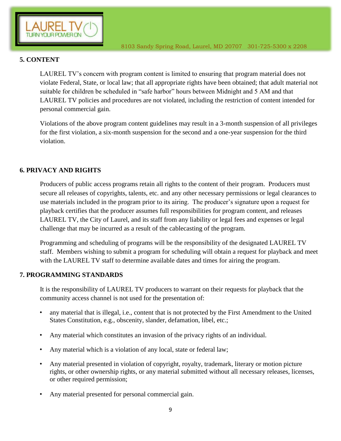

## **5. CONTENT**

LAUREL TV's concern with program content is limited to ensuring that program material does not violate Federal, State, or local law; that all appropriate rights have been obtained; that adult material not suitable for children be scheduled in "safe harbor" hours between Midnight and 5 AM and that LAUREL TV policies and procedures are not violated, including the restriction of content intended for personal commercial gain.

Violations of the above program content guidelines may result in a 3-month suspension of all privileges for the first violation, a six-month suspension for the second and a one-year suspension for the third violation.

## **6. PRIVACY AND RIGHTS**

Producers of public access programs retain all rights to the content of their program. Producers must secure all releases of copyrights, talents, etc. and any other necessary permissions or legal clearances to use materials included in the program prior to its airing. The producer's signature upon a request for playback certifies that the producer assumes full responsibilities for program content, and releases LAUREL TV, the City of Laurel, and its staff from any liability or legal fees and expenses or legal challenge that may be incurred as a result of the cablecasting of the program.

Programming and scheduling of programs will be the responsibility of the designated LAUREL TV staff. Members wishing to submit a program for scheduling will obtain a request for playback and meet with the LAUREL TV staff to determine available dates and times for airing the program.

#### **7. PROGRAMMING STANDARDS**

It is the responsibility of LAUREL TV producers to warrant on their requests for playback that the community access channel is not used for the presentation of:

- any material that is illegal, i.e., content that is not protected by the First Amendment to the United States Constitution, e.g., obscenity, slander, defamation, libel, etc.;
- Any material which constitutes an invasion of the privacy rights of an individual.
- Any material which is a violation of any local, state or federal law;
- Any material presented in violation of copyright, royalty, trademark, literary or motion picture rights, or other ownership rights, or any material submitted without all necessary releases, licenses, or other required permission;
- Any material presented for personal commercial gain.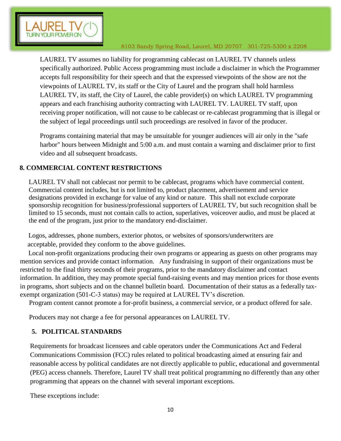

LAUREL TV assumes no liability for programming cablecast on LAUREL TV channels unless specifically authorized. Public Access programming must include a disclaimer in which the Programmer accepts full responsibility for their speech and that the expressed viewpoints of the show are not the viewpoints of LAUREL TV, its staff or the City of Laurel and the program shall hold harmless LAUREL TV, its staff, the City of Laurel, the cable provider(s) on which LAUREL TV programming appears and each franchising authority contracting with LAUREL TV. LAUREL TV staff, upon receiving proper notification, will not cause to be cablecast or re-cablecast programming that is illegal or the subject of legal proceedings until such proceedings are resolved in favor of the producer.

Programs containing material that may be unsuitable for younger audiences will air only in the "safe harbor" hours between Midnight and 5:00 a.m. and must contain a warning and disclaimer prior to first video and all subsequent broadcasts.

# **8. COMMERCIAL CONTENT RESTRICTIONS**

LAUREL TV shall not cablecast nor permit to be cablecast, programs which have commercial content. Commercial content includes, but is not limited to, product placement, advertisement and service designations provided in exchange for value of any kind or nature. This shall not exclude corporate sponsorship recognition for business/professional supporters of LAUREL TV, but such recognition shall be limited to 15 seconds, must not contain calls to action, superlatives, voiceover audio, and must be placed at the end of the program, just prior to the mandatory end-disclaimer.

 Logos, addresses, phone numbers, exterior photos, or websites of sponsors/underwriters are acceptable, provided they conform to the above guidelines.

 Local non-profit organizations producing their own programs or appearing as guests on other programs may mention services and provide contact information. Any fundraising in support of their organizations must be restricted to the final thirty seconds of their programs, prior to the mandatory disclaimer and contact information. In addition, they may promote special fund-raising events and may mention prices for those events in programs, short subjects and on the channel bulletin board. Documentation of their status as a federally taxexempt organization (501-C-3 status) may be required at LAUREL TV's discretion.

Program content cannot promote a for-profit business, a commercial service, or a product offered for sale.

Producers may not charge a fee for personal appearances on LAUREL TV.

# **5. POLITICAL STANDARDS**

Requirements for broadcast licensees and cable operators under the Communications Act and Federal Communications Commission (FCC) rules related to political broadcasting aimed at ensuring fair and reasonable access by political candidates are not directly applicable to public, educational and governmental (PEG) access channels. Therefore, Laurel TV shall treat political programming no differently than any other programming that appears on the channel with several important exceptions.

These exceptions include: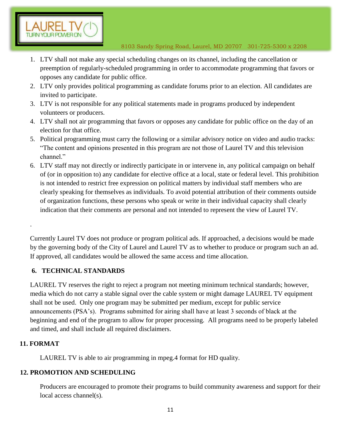- 1. LTV shall not make any special scheduling changes on its channel, including the cancellation or preemption of regularly-scheduled programming in order to accommodate programming that favors or opposes any candidate for public office.
- 2. LTV only provides political programming as candidate forums prior to an election. All candidates are invited to participate.
- 3. LTV is not responsible for any political statements made in programs produced by independent volunteers or producers.
- 4. LTV shall not air programming that favors or opposes any candidate for public office on the day of an election for that office.
- 5. Political programming must carry the following or a similar advisory notice on video and audio tracks: "The content and opinions presented in this program are not those of Laurel TV and this television channel."
- 6. LTV staff may not directly or indirectly participate in or intervene in, any political campaign on behalf of (or in opposition to) any candidate for elective office at a local, state or federal level. This prohibition is not intended to restrict free expression on political matters by individual staff members who are clearly speaking for themselves as individuals. To avoid potential attribution of their comments outside of organization functions, these persons who speak or write in their individual capacity shall clearly indication that their comments are personal and not intended to represent the view of Laurel TV.

Currently Laurel TV does not produce or program political ads. If approached, a decisions would be made by the governing body of the City of Laurel and Laurel TV as to whether to produce or program such an ad. If approved, all candidates would be allowed the same access and time allocation.

# **6. TECHNICAL STANDARDS**

LAUREL TV reserves the right to reject a program not meeting minimum technical standards; however, media which do not carry a stable signal over the cable system or might damage LAUREL TV equipment shall not be used. Only one program may be submitted per medium, except for public service announcements (PSA's). Programs submitted for airing shall have at least 3 seconds of black at the beginning and end of the program to allow for proper processing*.* All programs need to be properly labeled and timed, and shall include all required disclaimers.

## **11. FORMAT**

.

LAUREL TV is able to air programming in mpeg.4 format for HD quality.

## **12. PROMOTION AND SCHEDULING**

Producers are encouraged to promote their programs to build community awareness and support for their local access channel(s).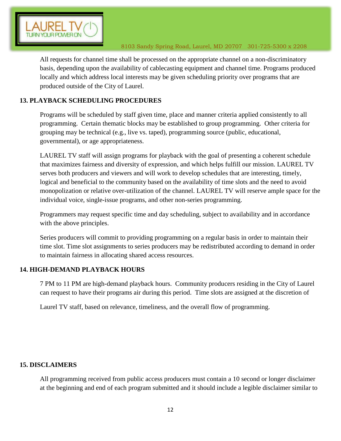

All requests for channel time shall be processed on the appropriate channel on a non-discriminatory basis, depending upon the availability of cablecasting equipment and channel time. Programs produced locally and which address local interests may be given scheduling priority over programs that are produced outside of the City of Laurel.

## **13. PLAYBACK SCHEDULING PROCEDURES**

Programs will be scheduled by staff given time, place and manner criteria applied consistently to all programming. Certain thematic blocks may be established to group programming. Other criteria for grouping may be technical (e.g., live vs. taped), programming source (public, educational, governmental), or age appropriateness.

LAUREL TV staff will assign programs for playback with the goal of presenting a coherent schedule that maximizes fairness and diversity of expression, and which helps fulfill our mission. LAUREL TV serves both producers and viewers and will work to develop schedules that are interesting, timely, logical and beneficial to the community based on the availability of time slots and the need to avoid monopolization or relative over-utilization of the channel. LAUREL TV will reserve ample space for the individual voice, single-issue programs, and other non-series programming.

Programmers may request specific time and day scheduling, subject to availability and in accordance with the above principles.

Series producers will commit to providing programming on a regular basis in order to maintain their time slot. Time slot assignments to series producers may be redistributed according to demand in order to maintain fairness in allocating shared access resources.

#### **14. HIGH-DEMAND PLAYBACK HOURS**

7 PM to 11 PM are high-demand playback hours. Community producers residing in the City of Laurel can request to have their programs air during this period. Time slots are assigned at the discretion of

Laurel TV staff, based on relevance, timeliness, and the overall flow of programming.

#### **15. DISCLAIMERS**

All programming received from public access producers must contain a 10 second or longer disclaimer at the beginning and end of each program submitted and it should include a legible disclaimer similar to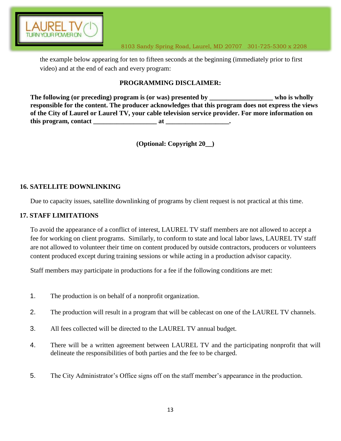

the example below appearing for ten to fifteen seconds at the beginning (immediately prior to first video) and at the end of each and every program:

## **PROGRAMMING DISCLAIMER:**

**The following (or preceding) program is (or was) presented by \_\_\_\_\_\_\_\_\_\_\_\_\_\_\_\_\_\_\_ who is wholly responsible for the content. The producer acknowledges that this program does not express the views of the City of Laurel or Laurel TV, your cable television service provider. For more information on this program, contact** at the set of  $\alpha$  at  $\alpha$ 

**(Optional: Copyright 20\_\_)** 

## **16. SATELLITE DOWNLINKING**

Due to capacity issues, satellite downlinking of programs by client request is not practical at this time.

## **17. STAFF LIMITATIONS**

To avoid the appearance of a conflict of interest, LAUREL TV staff members are not allowed to accept a fee for working on client programs. Similarly, to conform to state and local labor laws, LAUREL TV staff are not allowed to volunteer their time on content produced by outside contractors, producers or volunteers content produced except during training sessions or while acting in a production advisor capacity.

Staff members may participate in productions for a fee if the following conditions are met:

- 1. The production is on behalf of a nonprofit organization.
- 2. The production will result in a program that will be cablecast on one of the LAUREL TV channels.
- 3. All fees collected will be directed to the LAUREL TV annual budget.
- 4. There will be a written agreement between LAUREL TV and the participating nonprofit that will delineate the responsibilities of both parties and the fee to be charged.
- 5. The City Administrator's Office signs off on the staff member's appearance in the production.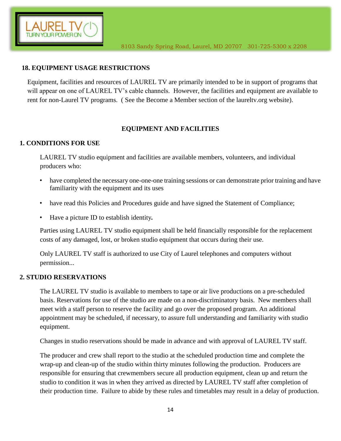

#### **18. EQUIPMENT USAGE RESTRICTIONS**

Equipment, facilities and resources of LAUREL TV are primarily intended to be in support of programs that will appear on one of LAUREL TV's cable channels. However, the facilities and equipment are available to rent for non-Laurel TV programs. ( See the Become a Member section of the laureltv.org website).

## **EQUIPMENT AND FACILITIES**

#### **1. CONDITIONS FOR USE**

LAUREL TV studio equipment and facilities are available members, volunteers, and individual producers who:

- have completed the necessary one-one-one training sessions or can demonstrate prior training and have familiarity with the equipment and its uses
- have read this Policies and Procedures guide and have signed the Statement of Compliance;
- Have a picture ID to establish identity*.*

Parties using LAUREL TV studio equipment shall be held financially responsible for the replacement costs of any damaged, lost, or broken studio equipment that occurs during their use.

Only LAUREL TV staff is authorized to use City of Laurel telephones and computers without permission...

#### **2. STUDIO RESERVATIONS**

The LAUREL TV studio is available to members to tape or air live productions on a pre-scheduled basis. Reservations for use of the studio are made on a non-discriminatory basis. New members shall meet with a staff person to reserve the facility and go over the proposed program. An additional appointment may be scheduled, if necessary, to assure full understanding and familiarity with studio equipment.

Changes in studio reservations should be made in advance and with approval of LAUREL TV staff.

The producer and crew shall report to the studio at the scheduled production time and complete the wrap-up and clean-up of the studio within thirty minutes following the production. Producers are responsible for ensuring that crewmembers secure all production equipment, clean up and return the studio to condition it was in when they arrived as directed by LAUREL TV staff after completion of their production time. Failure to abide by these rules and timetables may result in a delay of production.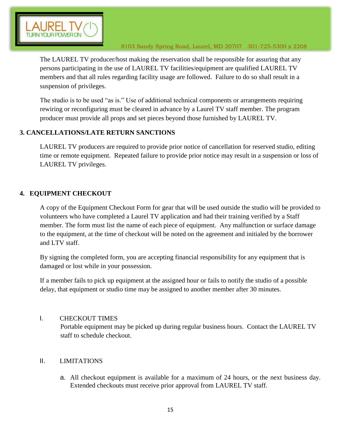

The LAUREL TV producer/host making the reservation shall be responsible for assuring that any persons participating in the use of LAUREL TV facilities/equipment are qualified LAUREL TV members and that all rules regarding facility usage are followed. Failure to do so shall result in a suspension of privileges.

The studio is to be used "as is." Use of additional technical components or arrangements requiring rewiring or reconfiguring must be cleared in advance by a Laurel TV staff member. The program producer must provide all props and set pieces beyond those furnished by LAUREL TV.

## **3. CANCELLATIONS/LATE RETURN SANCTIONS**

LAUREL TV producers are required to provide prior notice of cancellation for reserved studio, editing time or remote equipment. Repeated failure to provide prior notice may result in a suspension or loss of LAUREL TV privileges.

# **4. EQUIPMENT CHECKOUT**

A copy of the Equipment Checkout Form for gear that will be used outside the studio will be provided to volunteers who have completed a Laurel TV application and had their training verified by a Staff member. The form must list the name of each piece of equipment. Any malfunction or surface damage to the equipment, at the time of checkout will be noted on the agreement and initialed by the borrower and LTV staff.

By signing the completed form, you are accepting financial responsibility for any equipment that is damaged or lost while in your possession.

If a member fails to pick up equipment at the assigned hour or fails to notify the studio of a possible delay, that equipment or studio time may be assigned to another member after 30 minutes.

## I. CHECKOUT TIMES

Portable equipment may be picked up during regular business hours. Contact the LAUREL TV staff to schedule checkout.

# II. LIMITATIONS

a. All checkout equipment is available for a maximum of 24 hours, or the next business day. Extended checkouts must receive prior approval from LAUREL TV staff.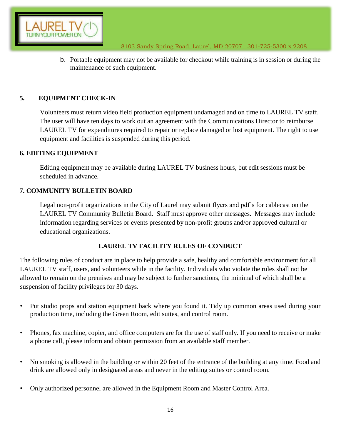

b. Portable equipment may not be available for checkout while training is in session or during the maintenance of such equipment.

## **5. EQUIPMENT CHECK-IN**

Volunteers must return video field production equipment undamaged and on time to LAUREL TV staff. The user will have ten days to work out an agreement with the Communications Director to reimburse LAUREL TV for expenditures required to repair or replace damaged or lost equipment. The right to use equipment and facilities is suspended during this period.

#### **6. EDITING EQUIPMENT**

Editing equipment may be available during LAUREL TV business hours, but edit sessions must be scheduled in advance.

## **7. COMMUNITY BULLETIN BOARD**

Legal non-profit organizations in the City of Laurel may submit flyers and pdf's for cablecast on the LAUREL TV Community Bulletin Board. Staff must approve other messages. Messages may include information regarding services or events presented by non-profit groups and/or approved cultural or educational organizations.

## **LAUREL TV FACILITY RULES OF CONDUCT**

The following rules of conduct are in place to help provide a safe, healthy and comfortable environment for all LAUREL TV staff, users, and volunteers while in the facility. Individuals who violate the rules shall not be allowed to remain on the premises and may be subject to further sanctions, the minimal of which shall be a suspension of facility privileges for 30 days.

- Put studio props and station equipment back where you found it. Tidy up common areas used during your production time, including the Green Room, edit suites, and control room.
- Phones, fax machine, copier, and office computers are for the use of staff only. If you need to receive or make a phone call, please inform and obtain permission from an available staff member.
- No smoking is allowed in the building or within 20 feet of the entrance of the building at any time. Food and drink are allowed only in designated areas and never in the editing suites or control room.
- Only authorized personnel are allowed in the Equipment Room and Master Control Area.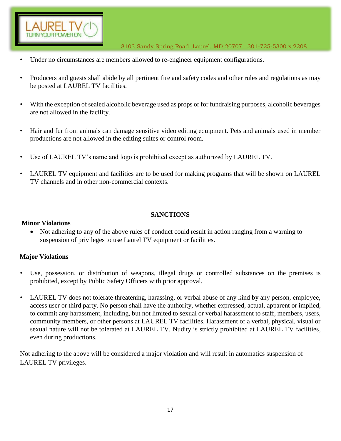

- Under no circumstances are members allowed to re-engineer equipment configurations.
- Producers and guests shall abide by all pertinent fire and safety codes and other rules and regulations as may be posted at LAUREL TV facilities.
- With the exception of sealed alcoholic beverage used as props or for fundraising purposes, alcoholic beverages are not allowed in the facility.
- Hair and fur from animals can damage sensitive video editing equipment. Pets and animals used in member productions are not allowed in the editing suites or control room.
- Use of LAUREL TV's name and logo is prohibited except as authorized by LAUREL TV.
- LAUREL TV equipment and facilities are to be used for making programs that will be shown on LAUREL TV channels and in other non-commercial contexts.

## **SANCTIONS**

#### **Minor Violations**

• Not adhering to any of the above rules of conduct could result in action ranging from a warning to suspension of privileges to use Laurel TV equipment or facilities.

#### **Major Violations**

- Use, possession, or distribution of weapons, illegal drugs or controlled substances on the premises is prohibited, except by Public Safety Officers with prior approval.
- LAUREL TV does not tolerate threatening, harassing, or verbal abuse of any kind by any person, employee, access user or third party. No person shall have the authority, whether expressed, actual, apparent or implied, to commit any harassment, including, but not limited to sexual or verbal harassment to staff, members, users, community members, or other persons at LAUREL TV facilities. Harassment of a verbal, physical, visual or sexual nature will not be tolerated at LAUREL TV. Nudity is strictly prohibited at LAUREL TV facilities, even during productions.

Not adhering to the above will be considered a major violation and will result in automatics suspension of LAUREL TV privileges.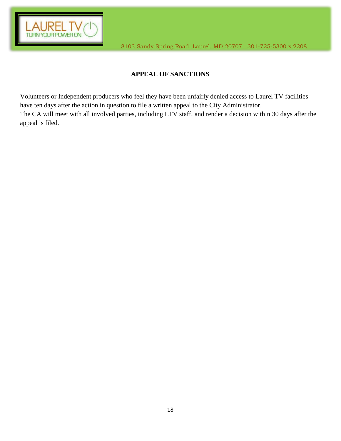

# **APPEAL OF SANCTIONS**

Volunteers or Independent producers who feel they have been unfairly denied access to Laurel TV facilities have ten days after the action in question to file a written appeal to the City Administrator. The CA will meet with all involved parties, including LTV staff, and render a decision within 30 days after the appeal is filed.